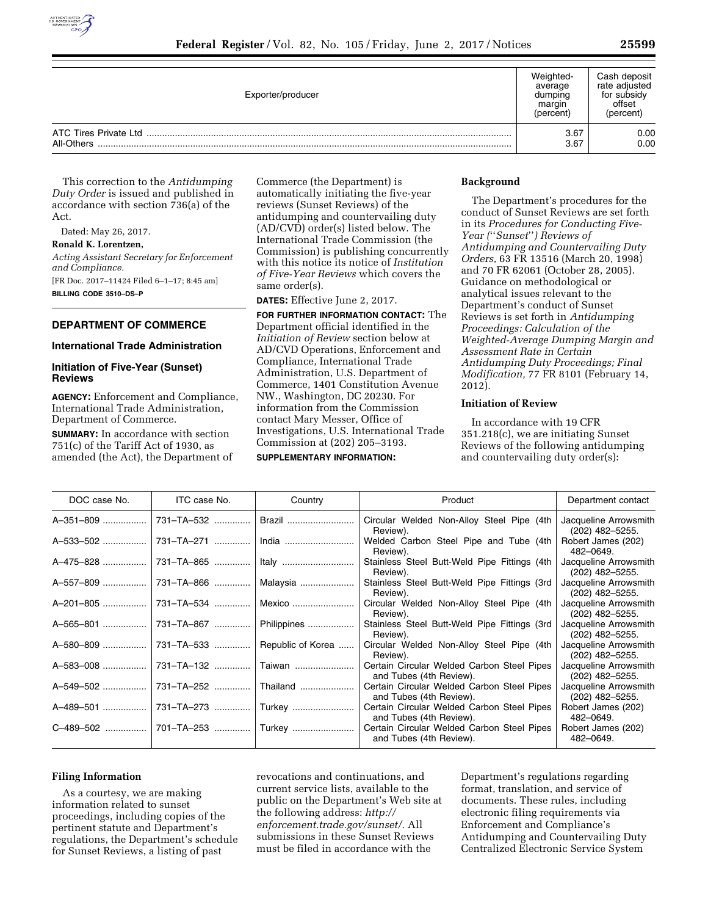

| Exporter/producer |              | Cash deposit<br>rate adjusted<br>for subsidy<br>offset<br>(percent) |
|-------------------|--------------|---------------------------------------------------------------------|
| All-Others        | 3.67<br>3.67 | 0.00<br>0.00                                                        |

This correction to the *Antidumping Duty Order* is issued and published in accordance with section 736(a) of the Act.

Dated: May 26, 2017.

**Ronald K. Lorentzen,** 

*Acting Assistant Secretary for Enforcement and Compliance.*  [FR Doc. 2017–11424 Filed 6–1–17; 8:45 am] **BILLING CODE 3510–DS–P** 

# **DEPARTMENT OF COMMERCE**

# **International Trade Administration**

# **Initiation of Five-Year (Sunset) Reviews**

**AGENCY:** Enforcement and Compliance, International Trade Administration, Department of Commerce.

**SUMMARY:** In accordance with section 751(c) of the Tariff Act of 1930, as amended (the Act), the Department of Commerce (the Department) is automatically initiating the five-year reviews (Sunset Reviews) of the antidumping and countervailing duty (AD/CVD) order(s) listed below. The International Trade Commission (the Commission) is publishing concurrently with this notice its notice of *Institution of Five-Year Reviews* which covers the same order(s).

**DATES:** Effective June 2, 2017.

**FOR FURTHER INFORMATION CONTACT:** The Department official identified in the *Initiation of Review* section below at AD/CVD Operations, Enforcement and Compliance, International Trade Administration, U.S. Department of Commerce, 1401 Constitution Avenue NW., Washington, DC 20230. For information from the Commission contact Mary Messer, Office of Investigations, U.S. International Trade Commission at (202) 205–3193.

#### **SUPPLEMENTARY INFORMATION:**

#### **Background**

The Department's procedures for the conduct of Sunset Reviews are set forth in its *Procedures for Conducting Five-Year (*''*Sunset*''*) Reviews of Antidumping and Countervailing Duty Orders,* 63 FR 13516 (March 20, 1998) and 70 FR 62061 (October 28, 2005). Guidance on methodological or analytical issues relevant to the Department's conduct of Sunset Reviews is set forth in *Antidumping Proceedings: Calculation of the Weighted-Average Dumping Margin and Assessment Rate in Certain Antidumping Duty Proceedings; Final Modification,* 77 FR 8101 (February 14, 2012).

### **Initiation of Review**

In accordance with 19 CFR 351.218(c), we are initiating Sunset Reviews of the following antidumping and countervailing duty order(s):

| DOC case No. | ITC case No.          | Country              | Product                                                               | Department contact                         |
|--------------|-----------------------|----------------------|-----------------------------------------------------------------------|--------------------------------------------|
|              |                       | Brazil               | Circular Welded Non-Alloy Steel Pipe (4th<br>Review).                 | Jacqueline Arrowsmith<br>(202) 482–5255.   |
| A-533-502    | 731-TA-271            | India                | Welded Carbon Steel Pipe and Tube (4th<br>Review).                    | Robert James (202)<br>482-0649.            |
| A-475-828    | 731–TA–865            | Italy                | Stainless Steel Butt-Weld Pipe Fittings (4th<br>Review).              | Jacqueline Arrowsmith<br>(202) 482-5255.   |
| A-557-809    | │731–TA–866   │       | Malaysia             | Stainless Steel Butt-Weld Pipe Fittings (3rd)<br>Review).             | Jacqueline Arrowsmith<br>(202) 482-5255.   |
| A-201-805    | l 731–TA–534  …………… l | Mexico               | Circular Welded Non-Alloy Steel Pipe (4th<br>Review).                 | Jacqueline Arrowsmith<br>$(202)$ 482-5255. |
| A-565-801    | 731–TA–867 ………….      | Philippines          | Stainless Steel Butt-Weld Pipe Fittings (3rd)<br>Review).             | Jacqueline Arrowsmith<br>$(202)$ 482-5255. |
| A-580-809    | 731-TA-533            | Republic of Korea    | Circular Welded Non-Alloy Steel Pipe (4th<br>Review).                 | Jacqueline Arrowsmith<br>$(202)$ 482-5255. |
| A-583-008    | 731-TA-132            | Taiwan               | Certain Circular Welded Carbon Steel Pipes<br>and Tubes (4th Review). | Jacqueline Arrowsmith<br>(202) 482–5255.   |
| A-549-502    | 731-TA-252            | Thailand             | Certain Circular Welded Carbon Steel Pipes<br>and Tubes (4th Review). | Jacqueline Arrowsmith<br>(202) 482–5255.   |
| A-489-501    |                       | 731-TA-273    Turkey | Certain Circular Welded Carbon Steel Pipes<br>and Tubes (4th Review). | Robert James (202)<br>482-0649.            |
|              |                       |                      | Certain Circular Welded Carbon Steel Pipes<br>and Tubes (4th Review). | Robert James (202)<br>482-0649.            |

#### **Filing Information**

As a courtesy, we are making information related to sunset proceedings, including copies of the pertinent statute and Department's regulations, the Department's schedule for Sunset Reviews, a listing of past

revocations and continuations, and current service lists, available to the public on the Department's Web site at the following address: *[http://](http://enforcement.trade.gov/sunset/) [enforcement.trade.gov/sunset/.](http://enforcement.trade.gov/sunset/)* All submissions in these Sunset Reviews must be filed in accordance with the

Department's regulations regarding format, translation, and service of documents. These rules, including electronic filing requirements via Enforcement and Compliance's Antidumping and Countervailing Duty Centralized Electronic Service System